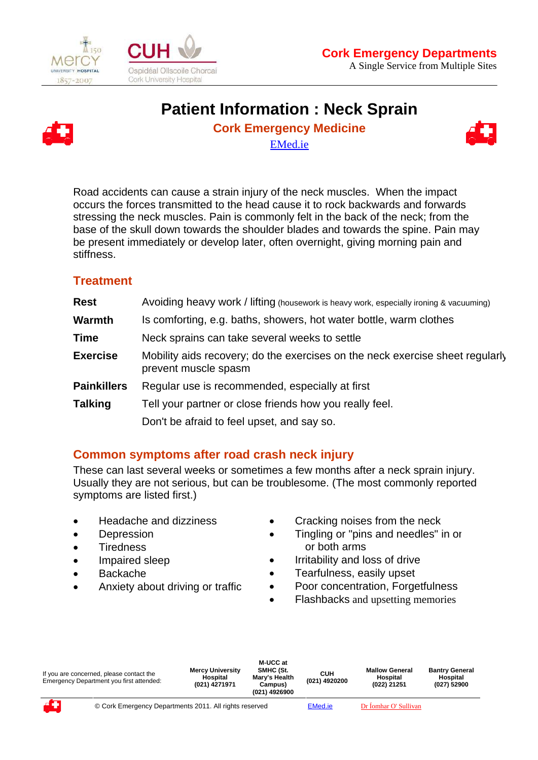

 $\overline{a}$ 





# **Patient Information : Neck Sprain**

**Cork Emergency Medicine** 



EMed.ie

Road accidents can cause a strain injury of the neck muscles. When the impact occurs the forces transmitted to the head cause it to rock backwards and forwards stressing the neck muscles. Pain is commonly felt in the back of the neck; from the base of the skull down towards the shoulder blades and towards the spine. Pain may be present immediately or develop later, often overnight, giving morning pain and stiffness.

## **Treatment**

| <b>Rest</b>        | Avoiding heavy work / lifting (housework is heavy work, especially ironing & vacuuming)               |  |  |  |  |  |
|--------------------|-------------------------------------------------------------------------------------------------------|--|--|--|--|--|
| <b>Warmth</b>      | Is comforting, e.g. baths, showers, hot water bottle, warm clothes                                    |  |  |  |  |  |
| <b>Time</b>        | Neck sprains can take several weeks to settle                                                         |  |  |  |  |  |
| <b>Exercise</b>    | Mobility aids recovery; do the exercises on the neck exercise sheet regularly<br>prevent muscle spasm |  |  |  |  |  |
| <b>Painkillers</b> | Regular use is recommended, especially at first                                                       |  |  |  |  |  |
| <b>Talking</b>     | Tell your partner or close friends how you really feel.                                               |  |  |  |  |  |
|                    | Don't be afraid to feel upset, and say so.                                                            |  |  |  |  |  |

### **Common symptoms after road crash neck injury**

These can last several weeks or sometimes a few months after a neck sprain injury. Usually they are not serious, but can be troublesome. (The most commonly reported symptoms are listed first.)

- Headache and dizziness
- Depression
- **Tiredness**
- Impaired sleep
- Backache
- Anxiety about driving or traffic
- Cracking noises from the neck
- Tingling or "pins and needles" in on or both arms
- Irritability and loss of drive
- Tearfulness, easily upset
- Poor concentration, Forgetfulness
- Flashbacks and upsetting memories